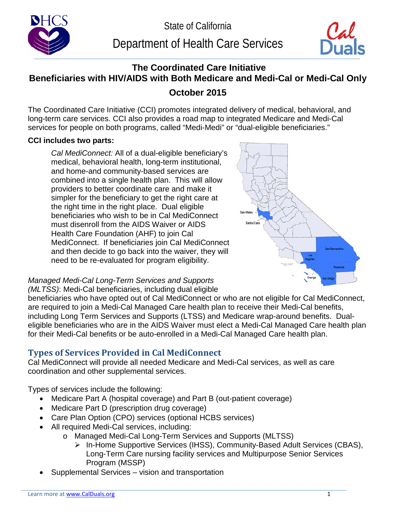

Department of Health Care Services



# **The Coordinated Care Initiative Beneficiaries with HIV/AIDS with Both Medicare and Medi-Cal or Medi-Cal Only October 2015**

The Coordinated Care Initiative (CCI) promotes integrated delivery of medical, behavioral, and long-term care services. CCI also provides a road map to integrated Medicare and Medi-Cal services for people on both programs, called "Medi-Medi" or "dual-eligible beneficiaries."

### **CCI includes two parts:**

*Cal MediConnect:* All of a dual-eligible beneficiary's medical, behavioral health, long-term institutional, and home-and community-based services are combined into a single health plan. This will allow providers to better coordinate care and make it simpler for the beneficiary to get the right care at the right time in the right place. Dual eligible beneficiaries who wish to be in Cal MediConnect must disenroll from the AIDS Waiver or AIDS Health Care Foundation (AHF) to join Cal MediConnect. If beneficiaries join Cal MediConnect and then decide to go back into the waiver, they will need to be re-evaluated for program eligibility.



*Managed Medi-Cal Long-Term Services and Supports (MLTSS)*: Medi-Cal beneficiaries, including dual eligible

beneficiaries who have opted out of Cal MediConnect or who are not eligible for Cal MediConnect, are required to join a Medi-Cal Managed Care health plan to receive their Medi-Cal benefits, including Long Term Services and Supports (LTSS) and Medicare wrap-around benefits. Dualeligible beneficiaries who are in the AIDS Waiver must elect a Medi-Cal Managed Care health plan for their Medi-Cal benefits or be auto-enrolled in a Medi-Cal Managed Care health plan.

# **Types of Services Provided in Cal MediConnect**

Cal MediConnect will provide all needed Medicare and Medi-Cal services, as well as care coordination and other supplemental services.

Types of services include the following:

- Medicare Part A (hospital coverage) and Part B (out-patient coverage)
- Medicare Part D (prescription drug coverage)
- Care Plan Option (CPO) services (optional HCBS services)
- All required Medi-Cal services, including:
	- o Managed Medi-Cal Long-Term Services and Supports (MLTSS)
		- In-Home Supportive Services (IHSS), Community-Based Adult Services (CBAS), Long-Term Care nursing facility services and Multipurpose Senior Services Program (MSSP)
- Supplemental Services vision and transportation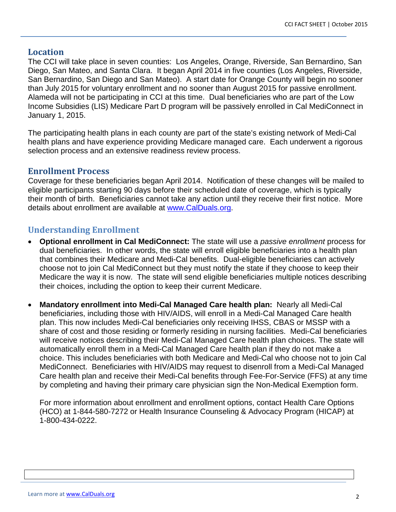#### **Location**

The CCI will take place in seven counties: Los Angeles, Orange, Riverside, San Bernardino, San Diego, San Mateo, and Santa Clara. It began April 2014 in five counties (Los Angeles, Riverside, San Bernardino, San Diego and San Mateo). A start date for Orange County will begin no sooner than July 2015 for voluntary enrollment and no sooner than August 2015 for passive enrollment. Alameda will not be participating in CCI at this time. Dual beneficiaries who are part of the Low Income Subsidies (LIS) Medicare Part D program will be passively enrolled in Cal MediConnect in January 1, 2015.

The participating health plans in each county are part of the state's existing network of Medi-Cal health plans and have experience providing Medicare managed care. Each underwent a rigorous selection process and an extensive readiness review process.

#### **Enrollment Process**

Coverage for these beneficiaries began April 2014. Notification of these changes will be mailed to eligible participants starting 90 days before their scheduled date of coverage, which is typically their month of birth. Beneficiaries cannot take any action until they receive their first notice. More details about enrollment are available at [www.CalDuals.org.](http://www.calduals.org/)

## **Understanding Enrollment**

- **Optional enrollment in Cal MediConnect:** The state will use a *passive enrollment* process for dual beneficiaries. In other words, the state will enroll eligible beneficiaries into a health plan that combines their Medicare and Medi-Cal benefits. Dual-eligible beneficiaries can actively choose not to join Cal MediConnect but they must notify the state if they choose to keep their Medicare the way it is now. The state will send eligible beneficiaries multiple notices describing their choices, including the option to keep their current Medicare.
- **Mandatory enrollment into Medi-Cal Managed Care health plan:** Nearly all Medi-Cal beneficiaries, including those with HIV/AIDS, will enroll in a Medi-Cal Managed Care health plan. This now includes Medi-Cal beneficiaries only receiving IHSS, CBAS or MSSP with a share of cost and those residing or formerly residing in nursing facilities. Medi-Cal beneficiaries will receive notices describing their Medi-Cal Managed Care health plan choices. The state will automatically enroll them in a Medi-Cal Managed Care health plan if they do not make a choice. This includes beneficiaries with both Medicare and Medi-Cal who choose not to join Cal MediConnect. Beneficiaries with HIV/AIDS may request to disenroll from a Medi-Cal Managed Care health plan and receive their Medi-Cal benefits through Fee-For-Service (FFS) at any time by completing and having their primary care physician sign the Non-Medical Exemption form.

For more information about enrollment and enrollment options, contact Health Care Options (HCO) at 1-844-580-7272 or Health Insurance Counseling & Advocacy Program (HICAP) at 1-800-434-0222.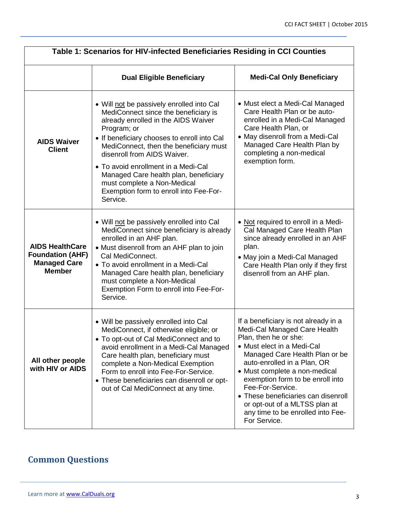| Table 1: Scenarios for HIV-infected Beneficiaries Residing in CCI Counties                |                                                                                                                                                                                                                                                                                                                                                                                                                                      |                                                                                                                                                                                                                                                                                                                                                                                                                    |  |
|-------------------------------------------------------------------------------------------|--------------------------------------------------------------------------------------------------------------------------------------------------------------------------------------------------------------------------------------------------------------------------------------------------------------------------------------------------------------------------------------------------------------------------------------|--------------------------------------------------------------------------------------------------------------------------------------------------------------------------------------------------------------------------------------------------------------------------------------------------------------------------------------------------------------------------------------------------------------------|--|
|                                                                                           | <b>Dual Eligible Beneficiary</b>                                                                                                                                                                                                                                                                                                                                                                                                     | <b>Medi-Cal Only Beneficiary</b>                                                                                                                                                                                                                                                                                                                                                                                   |  |
| <b>AIDS Waiver</b><br><b>Client</b>                                                       | • Will not be passively enrolled into Cal<br>MediConnect since the beneficiary is<br>already enrolled in the AIDS Waiver<br>Program; or<br>• If beneficiary chooses to enroll into Cal<br>MediConnect, then the beneficiary must<br>disenroll from AIDS Waiver.<br>• To avoid enrollment in a Medi-Cal<br>Managed Care health plan, beneficiary<br>must complete a Non-Medical<br>Exemption form to enroll into Fee-For-<br>Service. | • Must elect a Medi-Cal Managed<br>Care Health Plan or be auto-<br>enrolled in a Medi-Cal Managed<br>Care Health Plan, or<br>• May disenroll from a Medi-Cal<br>Managed Care Health Plan by<br>completing a non-medical<br>exemption form.                                                                                                                                                                         |  |
| <b>AIDS HealthCare</b><br><b>Foundation (AHF)</b><br><b>Managed Care</b><br><b>Member</b> | . Will not be passively enrolled into Cal<br>MediConnect since beneficiary is already<br>enrolled in an AHF plan.<br>• Must disenroll from an AHF plan to join<br>Cal MediConnect.<br>• To avoid enrollment in a Medi-Cal<br>Managed Care health plan, beneficiary<br>must complete a Non-Medical<br>Exemption Form to enroll into Fee-For-<br>Service.                                                                              | • Not required to enroll in a Medi-<br>Cal Managed Care Health Plan<br>since already enrolled in an AHF<br>plan.<br>• May join a Medi-Cal Managed<br>Care Health Plan only if they first<br>disenroll from an AHF plan.                                                                                                                                                                                            |  |
| All other people<br>with HIV or AIDS                                                      | • Will be passively enrolled into Cal<br>MediConnect, if otherwise eligible; or<br>• To opt-out of Cal MediConnect and to<br>avoid enrollment in a Medi-Cal Managed<br>Care health plan, beneficiary must<br>complete a Non-Medical Exemption<br>Form to enroll into Fee-For-Service.<br>• These beneficiaries can disenroll or opt-<br>out of Cal MediConnect at any time.                                                          | If a beneficiary is not already in a<br>Medi-Cal Managed Care Health<br>Plan, then he or she:<br>• Must elect in a Medi-Cal<br>Managed Care Health Plan or be<br>auto-enrolled in a Plan, OR<br>• Must complete a non-medical<br>exemption form to be enroll into<br>Fee-For-Service.<br>• These beneficiaries can disenroll<br>or opt-out of a MLTSS plan at<br>any time to be enrolled into Fee-<br>For Service. |  |

# **Common Questions**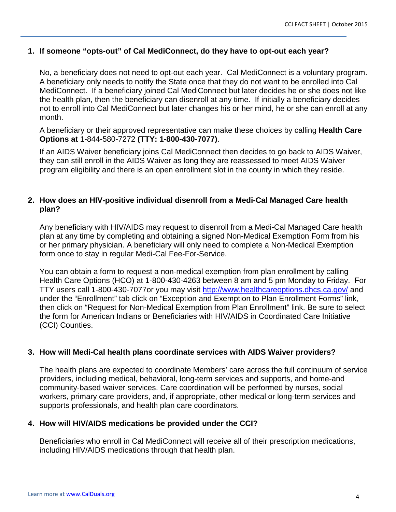#### **1. If someone "opts-out" of Cal MediConnect, do they have to opt-out each year?**

No, a beneficiary does not need to opt-out each year. Cal MediConnect is a voluntary program. A beneficiary only needs to notify the State once that they do not want to be enrolled into Cal MediConnect. If a beneficiary joined Cal MediConnect but later decides he or she does not like the health plan, then the beneficiary can disenroll at any time. If initially a beneficiary decides not to enroll into Cal MediConnect but later changes his or her mind, he or she can enroll at any month.

A beneficiary or their approved representative can make these choices by calling **Health Care Options at** 1-844-580-7272 **(TTY: 1-800-430-7077)**.

If an AIDS Waiver beneficiary joins Cal MediConnect then decides to go back to AIDS Waiver, they can still enroll in the AIDS Waiver as long they are reassessed to meet AIDS Waiver program eligibility and there is an open enrollment slot in the county in which they reside.

#### **2. How does an HIV-positive individual disenroll from a Medi-Cal Managed Care health plan?**

Any beneficiary with HIV/AIDS may request to disenroll from a Medi-Cal Managed Care health plan at any time by completing and obtaining a signed Non-Medical Exemption Form from his or her primary physician. A beneficiary will only need to complete a Non-Medical Exemption form once to stay in regular Medi-Cal Fee-For-Service.

You can obtain a form to request a non-medical exemption from plan enrollment by calling Health Care Options (HCO) at 1-800-430-4263 between 8 am and 5 pm Monday to Friday. For TTY users call 1-800-430-7077or you may visit<http://www.healthcareoptions.dhcs.ca.gov/> and under the "Enrollment" tab click on "Exception and Exemption to Plan Enrollment Forms" link, then click on "Request for Non-Medical Exemption from Plan Enrollment" link. Be sure to select the form for American Indians or Beneficiaries with HIV/AIDS in Coordinated Care Initiative (CCI) Counties.

#### **3. How will Medi-Cal health plans coordinate services with AIDS Waiver providers?**

The health plans are expected to coordinate Members' care across the full continuum of service providers, including medical, behavioral, long-term services and supports, and home-and community-based waiver services. Care coordination will be performed by nurses, social workers, primary care providers, and, if appropriate, other medical or long-term services and supports professionals, and health plan care coordinators.

#### **4. How will HIV/AIDS medications be provided under the CCI?**

Beneficiaries who enroll in Cal MediConnect will receive all of their prescription medications, including HIV/AIDS medications through that health plan.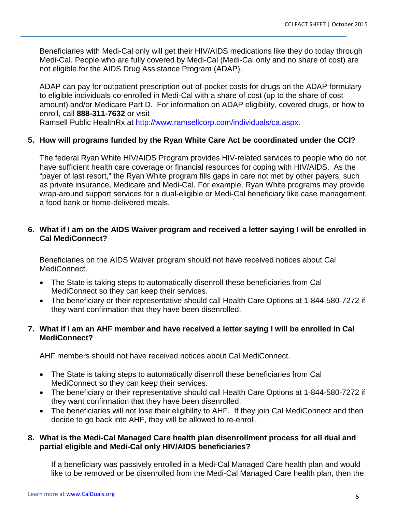Beneficiaries with Medi-Cal only will get their HIV/AIDS medications like they do today through Medi-Cal. People who are fully covered by Medi-Cal (Medi-Cal only and no share of cost) are not eligible for the AIDS Drug Assistance Program (ADAP).

ADAP can pay for outpatient prescription out-of-pocket costs for drugs on the ADAP formulary to eligible individuals co-enrolled in Medi-Cal with a share of cost (up to the share of cost amount) and/or Medicare Part D. For information on ADAP eligibility, covered drugs, or how to enroll, call **888-311-7632** or visit

Ramsell Public HealthRx at [http://www.ramsellcorp.com/individuals/ca.aspx.](http://www.ramsellcorp.com/individuals/ca.aspx)

#### **5. How will programs funded by the Ryan White Care Act be coordinated under the CCI?**

The federal Ryan White HIV/AIDS Program provides HIV-related services to people who do not have sufficient health care coverage or financial resources for coping with HIV/AIDS. As the "payer of last resort," the Ryan White program fills gaps in care not met by other payers, such as private insurance, Medicare and Medi-Cal. For example, Ryan White programs may provide wrap-around support services for a dual-eligible or Medi-Cal beneficiary like case management, a food bank or home-delivered meals.

#### **6. What if I am on the AIDS Waiver program and received a letter saying I will be enrolled in Cal MediConnect?**

Beneficiaries on the AIDS Waiver program should not have received notices about Cal MediConnect.

- The State is taking steps to automatically disenroll these beneficiaries from Cal MediConnect so they can keep their services.
- The beneficiary or their representative should call Health Care Options at 1-844-580-7272 if they want confirmation that they have been disenrolled.

#### **7. What if I am an AHF member and have received a letter saying I will be enrolled in Cal MediConnect?**

AHF members should not have received notices about Cal MediConnect.

- The State is taking steps to automatically disenroll these beneficiaries from Cal MediConnect so they can keep their services.
- The beneficiary or their representative should call Health Care Options at 1-844-580-7272 if they want confirmation that they have been disenrolled.
- The beneficiaries will not lose their eligibility to AHF. If they join Cal MediConnect and then decide to go back into AHF, they will be allowed to re-enroll.

#### **8. What is the Medi-Cal Managed Care health plan disenrollment process for all dual and partial eligible and Medi-Cal only HIV/AIDS beneficiaries?**

If a beneficiary was passively enrolled in a Medi-Cal Managed Care health plan and would like to be removed or be disenrolled from the Medi-Cal Managed Care health plan, then the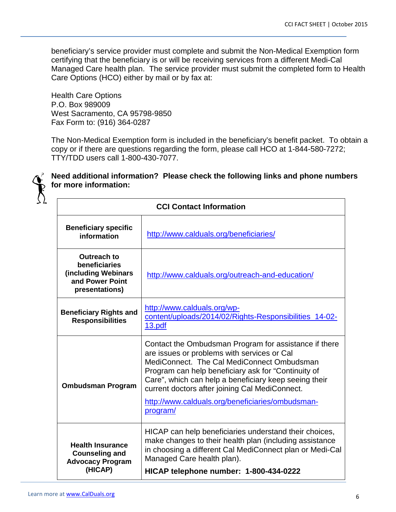beneficiary's service provider must complete and submit the Non-Medical Exemption form certifying that the beneficiary is or will be receiving services from a different Medi-Cal Managed Care health plan. The service provider must submit the completed form to Health Care Options (HCO) either by mail or by fax at:

Health Care Options P.O. Box 989009 West Sacramento, CA 95798-9850 Fax Form to: (916) 364-0287

The Non-Medical Exemption form is included in the beneficiary's benefit packet. To obtain a copy or if there are questions regarding the form, please call HCO at 1-844-580-7272; TTY/TDD users call 1-800-430-7077.



## **Need additional information? Please check the following links and phone numbers for more information:**

| <b>CCI Contact Information</b>                                                                  |                                                                                                                                                                                                                                                                                                                                                                                      |  |
|-------------------------------------------------------------------------------------------------|--------------------------------------------------------------------------------------------------------------------------------------------------------------------------------------------------------------------------------------------------------------------------------------------------------------------------------------------------------------------------------------|--|
| <b>Beneficiary specific</b><br>information                                                      | http://www.calduals.org/beneficiaries/                                                                                                                                                                                                                                                                                                                                               |  |
| <b>Outreach to</b><br>beneficiaries<br>(including Webinars<br>and Power Point<br>presentations) | http://www.calduals.org/outreach-and-education/                                                                                                                                                                                                                                                                                                                                      |  |
| <b>Beneficiary Rights and</b><br><b>Responsibilities</b>                                        | http://www.calduals.org/wp-<br>content/uploads/2014/02/Rights-Responsibilities_14-02-<br>13.pdf                                                                                                                                                                                                                                                                                      |  |
| <b>Ombudsman Program</b>                                                                        | Contact the Ombudsman Program for assistance if there<br>are issues or problems with services or Cal<br>MediConnect. The Cal MediConnect Ombudsman<br>Program can help beneficiary ask for "Continuity of<br>Care", which can help a beneficiary keep seeing their<br>current doctors after joining Cal MediConnect.<br>http://www.calduals.org/beneficiaries/ombudsman-<br>program/ |  |
| <b>Health Insurance</b><br><b>Counseling and</b><br><b>Advocacy Program</b><br>(HICAP)          | HICAP can help beneficiaries understand their choices,<br>make changes to their health plan (including assistance<br>in choosing a different Cal MediConnect plan or Medi-Cal<br>Managed Care health plan).<br>HICAP telephone number: 1-800-434-0222                                                                                                                                |  |